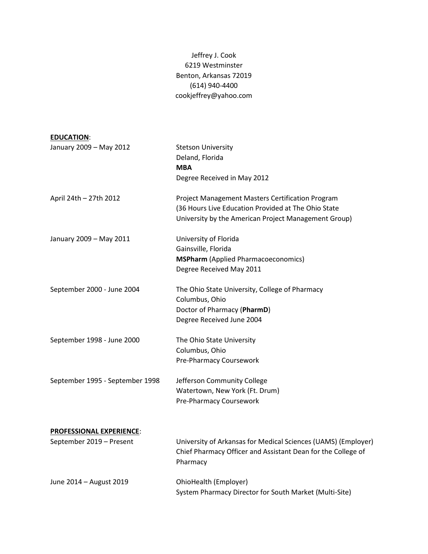## Jeffrey J. Cook 6219 Westminster Benton, Arkansas 72019 (614) 940-4400 cookjeffrey@yahoo.com

| <b>Stetson University</b>                                     |
|---------------------------------------------------------------|
| Deland, Florida                                               |
| <b>MBA</b>                                                    |
| Degree Received in May 2012                                   |
| Project Management Masters Certification Program              |
| (36 Hours Live Education Provided at The Ohio State           |
| University by the American Project Management Group)          |
| University of Florida                                         |
| Gainsville, Florida                                           |
| <b>MSPharm</b> (Applied Pharmacoeconomics)                    |
| Degree Received May 2011                                      |
| The Ohio State University, College of Pharmacy                |
| Columbus, Ohio                                                |
| Doctor of Pharmacy (PharmD)                                   |
| Degree Received June 2004                                     |
| The Ohio State University                                     |
| Columbus, Ohio                                                |
| Pre-Pharmacy Coursework                                       |
| Jefferson Community College                                   |
| Watertown, New York (Ft. Drum)                                |
| Pre-Pharmacy Coursework                                       |
|                                                               |
|                                                               |
| University of Arkansas for Medical Sciences (UAMS) (Employer) |
| Chief Pharmacy Officer and Assistant Dean for the College of  |
| Pharmacy                                                      |
| OhioHealth (Employer)                                         |
| System Pharmacy Director for South Market (Multi-Site)        |
|                                                               |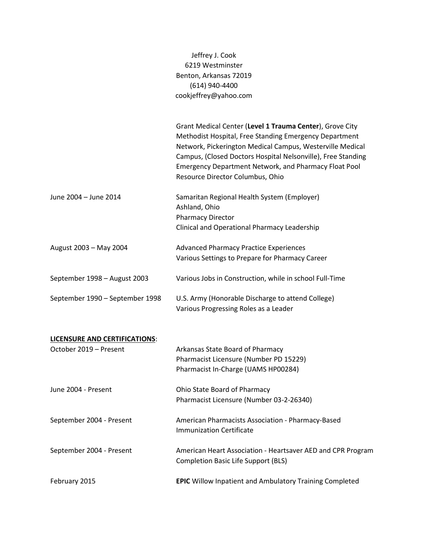|                                                                | Jeffrey J. Cook<br>6219 Westminster<br>Benton, Arkansas 72019<br>(614) 940-4400<br>cookjeffrey@yahoo.com                                                                                                                                                                                                                                            |
|----------------------------------------------------------------|-----------------------------------------------------------------------------------------------------------------------------------------------------------------------------------------------------------------------------------------------------------------------------------------------------------------------------------------------------|
|                                                                | Grant Medical Center (Level 1 Trauma Center), Grove City<br>Methodist Hospital, Free Standing Emergency Department<br>Network, Pickerington Medical Campus, Westerville Medical<br>Campus, (Closed Doctors Hospital Nelsonville), Free Standing<br><b>Emergency Department Network, and Pharmacy Float Pool</b><br>Resource Director Columbus, Ohio |
| June 2004 - June 2014                                          | Samaritan Regional Health System (Employer)<br>Ashland, Ohio<br><b>Pharmacy Director</b><br>Clinical and Operational Pharmacy Leadership                                                                                                                                                                                                            |
| August 2003 - May 2004                                         | <b>Advanced Pharmacy Practice Experiences</b><br>Various Settings to Prepare for Pharmacy Career                                                                                                                                                                                                                                                    |
| September 1998 - August 2003                                   | Various Jobs in Construction, while in school Full-Time                                                                                                                                                                                                                                                                                             |
| September 1990 - September 1998                                | U.S. Army (Honorable Discharge to attend College)<br>Various Progressing Roles as a Leader                                                                                                                                                                                                                                                          |
| <b>LICENSURE AND CERTIFICATIONS:</b><br>October 2019 - Present | Arkansas State Board of Pharmacy<br>Pharmacist Licensure (Number PD 15229)<br>Pharmacist In-Charge (UAMS HP00284)                                                                                                                                                                                                                                   |
| June 2004 - Present                                            | Ohio State Board of Pharmacy<br>Pharmacist Licensure (Number 03-2-26340)                                                                                                                                                                                                                                                                            |
| September 2004 - Present                                       | American Pharmacists Association - Pharmacy-Based<br><b>Immunization Certificate</b>                                                                                                                                                                                                                                                                |
| September 2004 - Present                                       | American Heart Association - Heartsaver AED and CPR Program<br><b>Completion Basic Life Support (BLS)</b>                                                                                                                                                                                                                                           |
| February 2015                                                  | <b>EPIC</b> Willow Inpatient and Ambulatory Training Completed                                                                                                                                                                                                                                                                                      |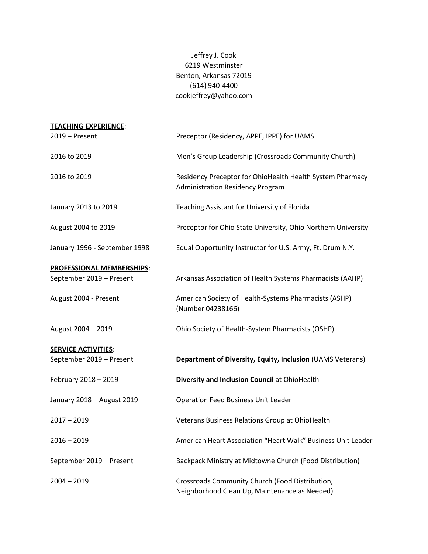Jeffrey J. Cook 6219 Westminster Benton, Arkansas 72019 (614) 940-4400 cookjeffrey@yahoo.com

| <b>TEACHING EXPERIENCE:</b>                                  |                                                                                                      |
|--------------------------------------------------------------|------------------------------------------------------------------------------------------------------|
| 2019 - Present                                               | Preceptor (Residency, APPE, IPPE) for UAMS                                                           |
| 2016 to 2019                                                 | Men's Group Leadership (Crossroads Community Church)                                                 |
| 2016 to 2019                                                 | Residency Preceptor for OhioHealth Health System Pharmacy<br><b>Administration Residency Program</b> |
| January 2013 to 2019                                         | Teaching Assistant for University of Florida                                                         |
| August 2004 to 2019                                          | Preceptor for Ohio State University, Ohio Northern University                                        |
| January 1996 - September 1998                                | Equal Opportunity Instructor for U.S. Army, Ft. Drum N.Y.                                            |
|                                                              |                                                                                                      |
| <b>PROFESSIONAL MEMBERSHIPS:</b><br>September 2019 - Present | Arkansas Association of Health Systems Pharmacists (AAHP)                                            |
| August 2004 - Present                                        | American Society of Health-Systems Pharmacists (ASHP)<br>(Number 04238166)                           |
| August 2004 - 2019                                           | Ohio Society of Health-System Pharmacists (OSHP)                                                     |
|                                                              |                                                                                                      |
| <b>SERVICE ACTIVITIES:</b><br>September 2019 - Present       | Department of Diversity, Equity, Inclusion (UAMS Veterans)                                           |
| February 2018 - 2019                                         | Diversity and Inclusion Council at OhioHealth                                                        |
| January 2018 - August 2019                                   | <b>Operation Feed Business Unit Leader</b>                                                           |
| $2017 - 2019$                                                | Veterans Business Relations Group at OhioHealth                                                      |
| $2016 - 2019$                                                | American Heart Association "Heart Walk" Business Unit Leader                                         |
| September 2019 - Present                                     | Backpack Ministry at Midtowne Church (Food Distribution)                                             |
| $2004 - 2019$                                                | Crossroads Community Church (Food Distribution,<br>Neighborhood Clean Up, Maintenance as Needed)     |